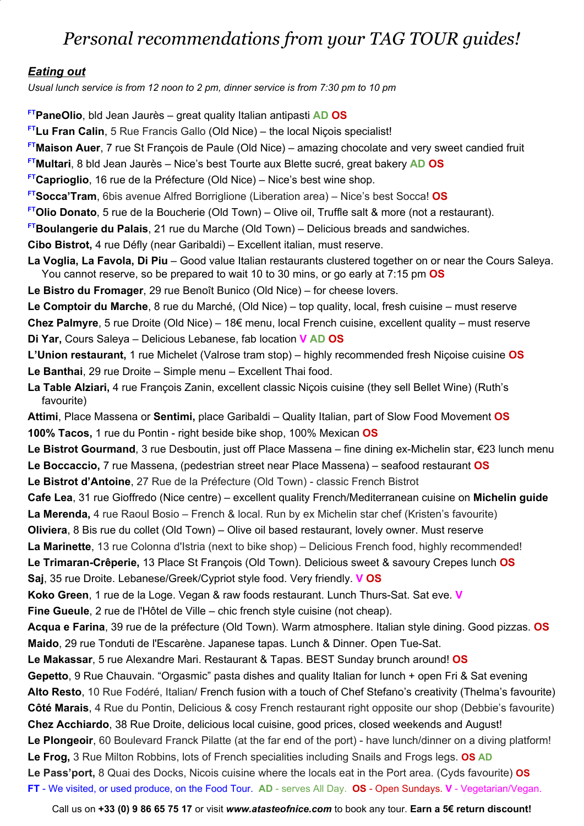# *Personal recommendations from your TAG TOUR guides!*

#### *Eating out*

*Usual lunch service is from 12 noon to 2 pm, dinner service is from 7:30 pm to 10 pm*

**FTPaneOlio**, bld Jean Jaurès – great quality Italian antipasti **AD OS**

**FTLu Fran Calin**, 5 Rue Francis Gallo (Old Nice) – the local Niçois specialist! **FTMaison Auer**, 7 rue St François de Paule (Old Nice) – amazing chocolate and very sweet candied fruit **FTMultari**, 8 bld Jean Jaurès – Nice's best Tourte aux Blette sucré, great bakery **AD OS FTCaprioglio**, 16 rue de la Préfecture (Old Nice) – Nice's best wine shop. **FTSocca'Tram**, 6bis avenue Alfred Borriglione (Liberation area) – Nice's best Socca! **OS FTOlio Donato**, 5 rue de la Boucherie (Old Town) – Olive oil, Truffle salt & more (not a restaurant). **FTBoulangerie du Palais**, 21 rue du Marche (Old Town) – Delicious breads and sandwiches. **Cibo Bistrot,** 4 rue Défly (near Garibaldi) – Excellent italian, must reserve. **La Voglia, La Favola, Di Piu** – Good value Italian restaurants clustered together on or near the Cours Saleya. You cannot reserve, so be prepared to wait 10 to 30 mins, or go early at 7:15 pm **OS Le Bistro du Fromager**, 29 rue Benoît Bunico (Old Nice) – for cheese lovers. **Le Comptoir du Marche**, 8 rue du Marché, (Old Nice) – top quality, local, fresh cuisine – must reserve **Chez Palmyre**, 5 rue Droite (Old Nice) – 18€ menu, local French cuisine, excellent quality – must reserve **Di Yar,** Cours Saleya – Delicious Lebanese, fab location **V AD OS L'Union restaurant,** 1 rue Michelet (Valrose tram stop) – highly recommended fresh Niçoise cuisine **OS Le Banthai**, 29 rue Droite – Simple menu – Excellent Thai food. **La Table Alziari,** 4 rue François Zanin, excellent classic Niçois cuisine (they sell Bellet Wine) (Ruth's favourite) **Attimi**, Place Massena or **Sentimi,** place Garibaldi – Quality Italian, part of Slow Food Movement **OS 100% Tacos,** 1 rue du Pontin - right beside bike shop, 100% Mexican **OS Le Bistrot Gourmand**, 3 rue Desboutin, just off Place Massena – fine dining ex-Michelin star, €23 lunch menu **Le Boccaccio,** 7 rue Massena, (pedestrian street near Place Massena) – seafood restaurant **OS Le Bistrot d'Antoine**, 27 Rue de la Préfecture (Old Town) - classic French Bistrot **Cafe Lea**, 31 rue Gioffredo (Nice centre) – excellent quality French/Mediterranean cuisine on **Michelin guide La Merenda,** 4 rue Raoul Bosio – French & local. Run by ex Michelin star chef (Kristen's favourite) **Oliviera**, 8 Bis rue du collet (Old Town) – Olive oil based restaurant, lovely owner. Must reserve **La Marinette**, 13 rue Colonna d'Istria (next to bike shop) – Delicious French food, highly recommended! **Le Trimaran-Crêperie,** 13 Place St François (Old Town). Delicious sweet & savoury Crepes lunch **OS Saj**, 35 rue Droite. Lebanese/Greek/Cypriot style food. Very friendly. **V OS Koko Green**, 1 rue de la Loge. Vegan & raw foods restaurant. Lunch Thurs-Sat. Sat eve. **V Fine Gueule**, 2 rue de l'Hôtel de Ville – chic french style cuisine (not cheap). **Acqua e Farina**, 39 rue de la préfecture (Old Town). Warm atmosphere. Italian style dining. Good pizzas. **OS Maido**, 29 rue Tonduti de l'Escarène. Japanese tapas. Lunch & Dinner. Open Tue-Sat. **Le Makassar**, 5 rue Alexandre Mari. Restaurant & Tapas. BEST Sunday brunch around! **OS Gepetto**, 9 Rue Chauvain. "Orgasmic" pasta dishes and quality Italian for lunch + open Fri & Sat evening **Alto Resto**, 10 Rue Fodéré, Italian/ French fusion with a touch of Chef Stefano's creativity (Thelma's favourite) **Côté Marais**, 4 Rue du Pontin, Delicious & cosy French restaurant right opposite our shop (Debbie's favourite) **Chez Acchiardo**, 38 Rue Droite, delicious local cuisine, good prices, closed weekends and August! **Le Plongeoir**, 60 Boulevard Franck Pilatte (at the far end of the port) - have lunch/dinner on a diving platform! **Le Frog,** 3 Rue Milton Robbins, lots of French specialities including Snails and Frogs legs. **OS AD Le Pass'port,** 8 Quai des Docks, Nicois cuisine where the locals eat in the Port area. (Cyds favourite) **OS FT** - We visited, or used produce, on the Food Tour. **AD** - serves All Day. **OS** - Open Sundays. **V** - Vegetarian/Vegan.

Call us on **+33 (0) 9 86 65 75 17** or visit *www.atasteofnice.com* to book any tour. **Earn a 5€ return discount!**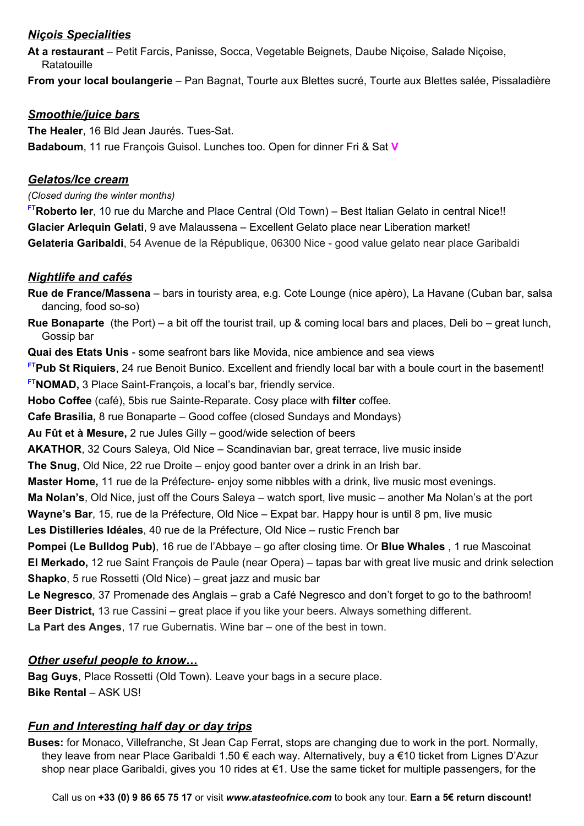### *Niçois Specialities*

**At a restaurant** – Petit Farcis, Panisse, Socca, Vegetable Beignets, Daube Niçoise, Salade Niçoise, **Ratatouille** 

**From your local boulangerie** – Pan Bagnat, Tourte aux Blettes sucré, Tourte aux Blettes salée, Pissaladière

### *Smoothie/juice bars*

**The Healer**, 16 Bld Jean Jaurés. Tues-Sat. **Badaboum**, 11 rue François Guisol. Lunches too. Open for dinner Fri & Sat **V**

### *Gelatos/Ice cream*

*(Closed during the winter months)*

**FTRoberto Ier**, 10 rue du Marche and Place Central (Old Town) – Best Italian Gelato in central Nice!! **Glacier Arlequin Gelati**, 9 ave Malaussena – Excellent Gelato place near Liberation market! **Gelateria Garibaldi**, 54 Avenue de la République, 06300 Nice - good value gelato near place Garibaldi

### *Nightlife and cafés*

**Rue de France/Massena** – bars in touristy area, e.g. Cote Lounge (nice apèro), La Havane (Cuban bar, salsa dancing, food so-so)

**Rue Bonaparte** (the Port) – a bit off the tourist trail, up & coming local bars and places, Deli bo – great lunch, Gossip bar

**Quai des Etats Unis** - some seafront bars like Movida, nice ambience and sea views

**FTPub St Riquiers**, 24 rue Benoit Bunico. Excellent and friendly local bar with a boule court in the basement! **FTNOMAD,** 3 Place Saint-François, a local's bar, friendly service.

**Hobo Coffee** (café), 5bis rue Sainte-Reparate. Cosy place with **filter** coffee.

**Cafe Brasilia,** 8 rue Bonaparte – Good coffee (closed Sundays and Mondays)

**Au Fût et à Mesure,** 2 rue Jules Gilly – good/wide selection of beers

**AKATHOR**, 32 Cours Saleya, Old Nice – Scandinavian bar, great terrace, live music inside

**The Snug**, Old Nice, 22 rue Droite – enjoy good banter over a drink in an Irish bar.

**Master Home,** 11 rue de la Préfecture- enjoy some nibbles with a drink, live music most evenings.

**Ma Nolan's**, Old Nice, just off the Cours Saleya – watch sport, live music – another Ma Nolan's at the port

**Wayne's Bar**, 15, rue de la Préfecture, Old Nice – Expat bar. Happy hour is until 8 pm, live music

**Les Distilleries Idéales**, 40 rue de la Préfecture, Old Nice – rustic French bar

**Pompei (Le Bulldog Pub)**, 16 rue de l'Abbaye – go after closing time. Or **Blue Whales** , 1 rue Mascoinat **El Merkado,** 12 rue Saint François de Paule (near Opera) – tapas bar with great live music and drink selection **Shapko**, 5 rue Rossetti (Old Nice) – great jazz and music bar

**Le Negresco**, 37 Promenade des Anglais – grab a Café Negresco and don't forget to go to the bathroom! **Beer District,** 13 rue Cassini – great place if you like your beers. Always something different.

**La Part des Anges**, 17 rue Gubernatis. Wine bar – one of the best in town.

### *Other useful people to know…*

**Bag Guys**, Place Rossetti (Old Town). Leave your bags in a secure place. **Bike Rental** – ASK US!

## *Fun and Interesting half day or day trips*

**Buses:** for Monaco, Villefranche, St Jean Cap Ferrat, stops are changing due to work in the port. Normally, they leave from near Place Garibaldi 1.50 € each way. Alternatively, buy a €10 ticket from Lignes D'Azur shop near place Garibaldi, gives you 10 rides at €1. Use the same ticket for multiple passengers, for the

Call us on **+33 (0) 9 86 65 75 17** or visit *www.atasteofnice.com* to book any tour. **Earn a 5€ return discount!**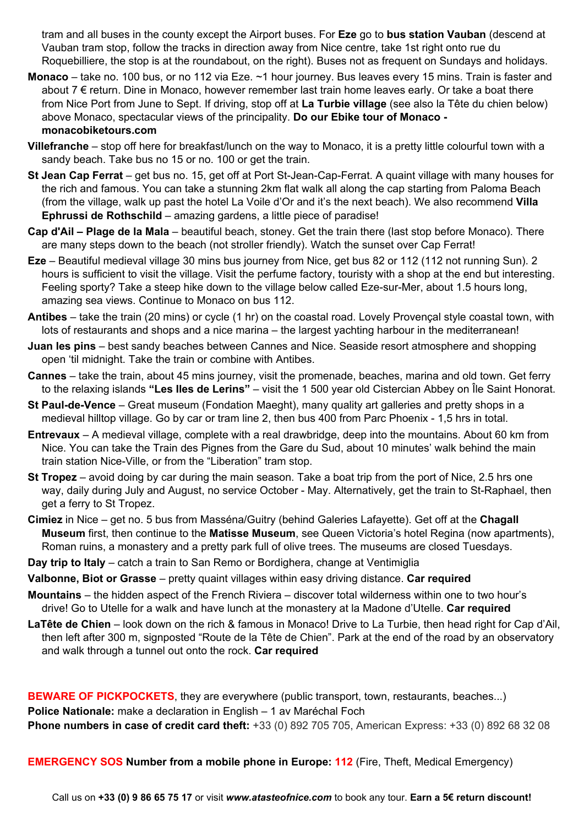tram and all buses in the county except the Airport buses. For **Eze** go to **bus station Vauban** (descend at Vauban tram stop, follow the tracks in direction away from Nice centre, take 1st right onto rue du Roquebilliere, the stop is at the roundabout, on the right). Buses not as frequent on Sundays and holidays.

- **Monaco** take no. 100 bus, or no 112 via Eze. ~1 hour journey. Bus leaves every 15 mins. Train is faster and about 7 € return. Dine in Monaco, however remember last train home leaves early. Or take a boat there from Nice Port from June to Sept. If driving, stop off at **La Turbie village** (see also la Tête du chien below) above Monaco, spectacular views of the principality. **Do our Ebike tour of Monaco monacobiketours.com**
- **Villefranche** stop off here for breakfast/lunch on the way to Monaco, it is a pretty little colourful town with a sandy beach. Take bus no 15 or no. 100 or get the train.
- **St Jean Cap Ferrat** get bus no. 15, get off at Port St-Jean-Cap-Ferrat. A quaint village with many houses for the rich and famous. You can take a stunning 2km flat walk all along the cap starting from Paloma Beach (from the village, walk up past the hotel La Voile d'Or and it's the next beach). We also recommend **Villa Ephrussi de Rothschild** – amazing gardens, a little piece of paradise!
- **Cap d'Ail – Plage de la Mala** beautiful beach, stoney. Get the train there (last stop before Monaco). There are many steps down to the beach (not stroller friendly). Watch the sunset over Cap Ferrat!
- **Eze** Beautiful medieval village 30 mins bus journey from Nice, get bus 82 or 112 (112 not running Sun). 2 hours is sufficient to visit the village. Visit the perfume factory, touristy with a shop at the end but interesting. Feeling sporty? Take a steep hike down to the village below called Eze-sur-Mer, about 1.5 hours long, amazing sea views. Continue to Monaco on bus 112.
- **Antibes** take the train (20 mins) or cycle (1 hr) on the coastal road. Lovely Provençal style coastal town, with lots of restaurants and shops and a nice marina – the largest yachting harbour in the mediterranean!
- **Juan les pins** best sandy beaches between Cannes and Nice. Seaside resort atmosphere and shopping open 'til midnight. Take the train or combine with Antibes.
- **Cannes** take the train, about 45 mins journey, visit the promenade, beaches, marina and old town. Get ferry to the relaxing islands **"Les Iles de Lerins"** – visit the 1 500 year old Cistercian Abbey on Île Saint Honorat.
- **St Paul-de-Vence** Great museum (Fondation Maeght), many quality art galleries and pretty shops in a medieval hilltop village. Go by car or tram line 2, then bus 400 from Parc Phoenix - 1,5 hrs in total.
- **Entrevaux** A medieval village, complete with a real drawbridge, deep into the mountains. About 60 km from Nice. You can take the Train des Pignes from the Gare du Sud, about 10 minutes' walk behind the main train station Nice-Ville, or from the "Liberation" tram stop.
- **St Tropez** avoid doing by car during the main season. Take a boat trip from the port of Nice, 2.5 hrs one way, daily during July and August, no service October - May. Alternatively, get the train to St-Raphael, then get a ferry to St Tropez.
- **Cimiez** in Nice get no. 5 bus from Masséna/Guitry (behind Galeries Lafayette). Get off at the **Chagall Museum** first, then continue to the **Matisse Museum**, see Queen Victoria's hotel Regina (now apartments), Roman ruins, a monastery and a pretty park full of olive trees. The museums are closed Tuesdays.
- **Day trip to Italy** catch a train to San Remo or Bordighera, change at Ventimiglia
- **Valbonne, Biot or Grasse** pretty quaint villages within easy driving distance. **Car required**
- **Mountains** the hidden aspect of the French Riviera discover total wilderness within one to two hour's drive! Go to Utelle for a walk and have lunch at the monastery at la Madone d'Utelle. **Car required**
- **LaTête de Chien** look down on the rich & famous in Monaco! Drive to La Turbie, then head right for Cap d'Ail, then left after 300 m, signposted "Route de la Tête de Chien". Park at the end of the road by an observatory and walk through a tunnel out onto the rock. **Car required**

**BEWARE OF PICKPOCKETS**, they are everywhere (public transport, town, restaurants, beaches...) **Police Nationale:** make a declaration in English – 1 av Maréchal Foch **Phone numbers in case of credit card theft:** +33 (0) 892 705 705, American Express: +33 (0) 892 68 32 08

**EMERGENCY SOS Number from a mobile phone in Europe: 112** (Fire, Theft, Medical Emergency)